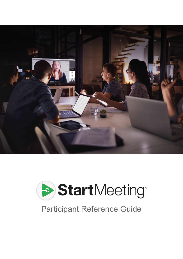



# Participant Reference Guide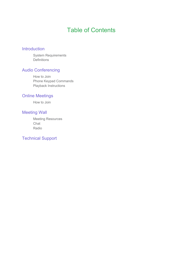# Table of Contents

#### Introduction

System Requirements **Definitions** 

#### Audio Conferencing

How to Join Phone Keypad Commands Playback Instructions

#### Online Meetings

How to Join

#### Meeting Wall

Meeting Resources Chat Radio

#### Technical Support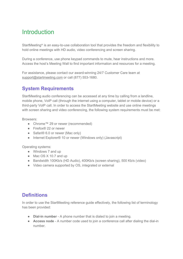# **Introduction**

StartMeeting® is an easy-to-use collaboration tool that provides the freedom and flexibility to hold online meetings with HD audio, video conferencing and screen sharing.

During a conference, use phone keypad commands to mute, hear instructions and more. Access the host's Meeting Wall to find important information and resources for a meeting.

For assistance, please contact our award-winning 24/7 Customer Care team at [support@startmeeting.com](mailto:support@startmeeting.com) or call (877) 553-1680.

### **System Requirements**

StartMeeting audio conferencing can be accessed at any time by calling from a landline, mobile phone, VoIP call (through the internet using a computer, tablet or mobile device) or a third-party VoIP call. In order to access the StartMeeting website and use online meetings with screen sharing and video conferencing, the following system requirements must be met:

Browsers:

- Chrome™ 29 or newer (recommended)
- Firefox® 22 or newer
- Safari® 6.0 or newer (Mac only)
- Internet Explorer<sup>®</sup> 10 or newer (Windows only) (Javascript)

Operating systems:

- Windows 7 and up
- Mac OS X 10.7 and up
- Bandwidth 100Kb/s (HD Audio), 400Kb/s (screen sharing), 500 Kb/s (video)
- Video camera supported by OS, integrated or external

#### **Definitions**

In order to use the StartMeeting reference guide effectively, the following list of terminology has been provided:

- **Dial-in number** A phone number that is dialed to join a meeting.
- **Access node** A number code used to join a conference call after dialing the dial-in number.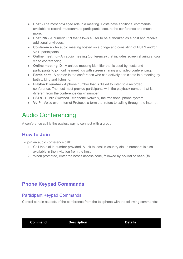- **Host** The most privileged role in a meeting. Hosts have additional commands available to record, mute/unmute participants, secure the conference and much more.
- **Host PIN** A numeric PIN that allows a user to be authorized as a host and receive additional privileges.
- **Conference** An audio meeting hosted on a bridge and consisting of PSTN and/or VoIP participants.
- **Online meeting** An audio meeting (conference) that includes screen sharing and/or video conferencing
- **Online meeting ID** A unique meeting identifier that is used by hosts and participants to join online meetings with screen sharing and video conferencing.
- **Participant** A person in the conference who can actively participate in a meeting by both talking and listening.
- **Playback number** A phone number that is dialed to listen to a recorded conference. The host must provide participants with the playback number that is different from the conference dial-in number.
- **PSTN** Public Switched Telephone Network, the traditional phone system.
- **VoIP** Voice over Internet Protocol, a term that refers to calling through the internet.

# Audio Conferencing

A conference call is the easiest way to connect with a group.

### **How to Join**

To join an audio conference call:

- 1. Call the dial-in number provided. A link to local in-country dial-in numbers is also available in the invitation from the host.
- 2. When prompted, enter the host's access code, followed by **pound** or **hash** (**#**).

### **Phone Keypad Commands**

#### Participant Keypad Commands

Control certain aspects of the conference from the telephone with the following commands:

**Command Description Details**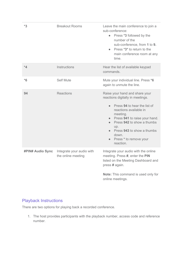| $*3$                    | <b>Breakout Rooms</b>                           | Leave the main conference to join a<br>sub-conference:<br>• Press *3 followed by the<br>number of the<br>sub-conference, from 1 to 9.<br>• Press *3* to return to the<br>main conference room at any<br>time.                                                                                                                       |
|-------------------------|-------------------------------------------------|-------------------------------------------------------------------------------------------------------------------------------------------------------------------------------------------------------------------------------------------------------------------------------------------------------------------------------------|
| $*_{4}$                 | Instructions                                    | Hear the list of available keypad<br>commands.                                                                                                                                                                                                                                                                                      |
| $*6$                    | <b>Self Mute</b>                                | Mute your individual line. Press *6<br>again to unmute the line.                                                                                                                                                                                                                                                                    |
| 94                      | <b>Reactions</b>                                | Raise your hand and share your<br>reactions digitally in meetings.<br>Press 94 to hear the list of<br>$\bullet$<br>reactions available in<br>meeting.<br>Press 941 to raise your hand.<br>$\bullet$<br>Press 942 to show a thumbs<br>$\bullet$<br>up.<br>Press 943 to show a thumbs<br>down.<br>Press * to remove your<br>reaction. |
| <b>#PIN# Audio Sync</b> | Integrate your audio with<br>the online meeting | Integrate your audio with the online<br>meeting. Press #, enter the PIN<br>listed on the Meeting Dashboard and<br>press # again.<br>Note: This command is used only for<br>online meetings.                                                                                                                                         |

### Playback Instructions

There are two options for playing back a recorded conference.

1. The host provides participants with the playback number, access code and reference number.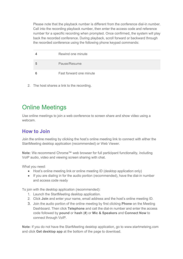Please note that the playback number is different from the conference dial-in number. Call into the recording playback number, then enter the access code and reference number for a specific recording when prompted. Once confirmed, the system will play back the recorded conference. During playback, scroll forward or backward through the recorded conference using the following phone keypad commands:

|   | Rewind one minute       |
|---|-------------------------|
| h | Pause/Resume            |
|   | Fast forward one minute |

2. The host shares a link to the recording.

# Online Meetings

Use online meetings to join a web conference to screen share and show video using a webcam.

## **How to Join**

Join the online meeting by clicking the host's online meeting link to connect with either the StartMeeting desktop application (recommended) or Web Viewer.

**Note:** We recommend Chrome™ web browser for full participant functionality, including VoIP audio, video and viewing screen sharing with chat.

What you need:

- Host's online meeting link or online meeting ID (desktop application only)
- If you are dialing in for the audio portion (recommended), have the dial-in number and access code ready

To join with the desktop application (recommended):

- 1. Launch the StartMeeting desktop application.
- 2. Click **Join** and enter your name, email address and the host's online meeting ID.
- 3. Join the audio portion of the online meeting by first clicking **Phone** on the Meeting Dashboard. Then click **Telephone** and call the dial-in number and enter the access code followed by **pound** or **hash** (**#**) or **Mic & Speakers** and **Connect Now** to connect through VoIP.

**Note:** If you do not have the StartMeeting desktop application, go to www.startmeteing.com and click **Get desktop app** at the bottom of the page to download.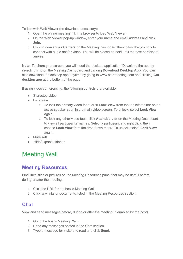To join with Web Viewer (no download necessary):

- 1. Open the online meeting link in a browser to load Web Viewer.
- 2. On the Web Viewer pop-up window, enter your name and email address and click **Join**.
- 3. Click **Phone** and/or **Camera** on the Meeting Dashboard then follow the prompts to connect with audio and/or video. You will be placed on hold until the next participant arrives.

**Note:** To share your screen, you will need the desktop application. Download the app by selecting **Info** on the Meeting Dashboard and clicking **Download Desktop App**. You can also download the desktop app anytime by going to www.startmeeting.com and clicking **Get desktop app** at the bottom of the page.

If using video conferencing, the following controls are available:

- Start/stop video
- Lock view
	- To lock the primary video feed, click **Lock View** from the top left toolbar on an active speaker seen in the main video screen. To unlock, select **Lock View** again.
	- To lock any other video feed, click **Attendee List** on the Meeting Dashboard to view all participants' names. Select a participant and right click, then choose **Lock View** from the drop-down menu. To unlock, select **Lock View** again.
- Mute self
- Hide/expand sidebar

# Meeting Wall

### **Meeting Resources**

Find links, files or pictures on the Meeting Resources panel that may be useful before, during or after the meeting.

- 1. Click the URL for the host's Meeting Wall.
- 2. Click any links or documents listed in the Meeting Resources section.

### **Chat**

View and send messages before, during or after the meeting (if enabled by the host).

- 1. Go to the host's Meeting Wall.
- 2. Read any messages posted in the Chat section.
- 3. Type a message for visitors to read and click **Send**.